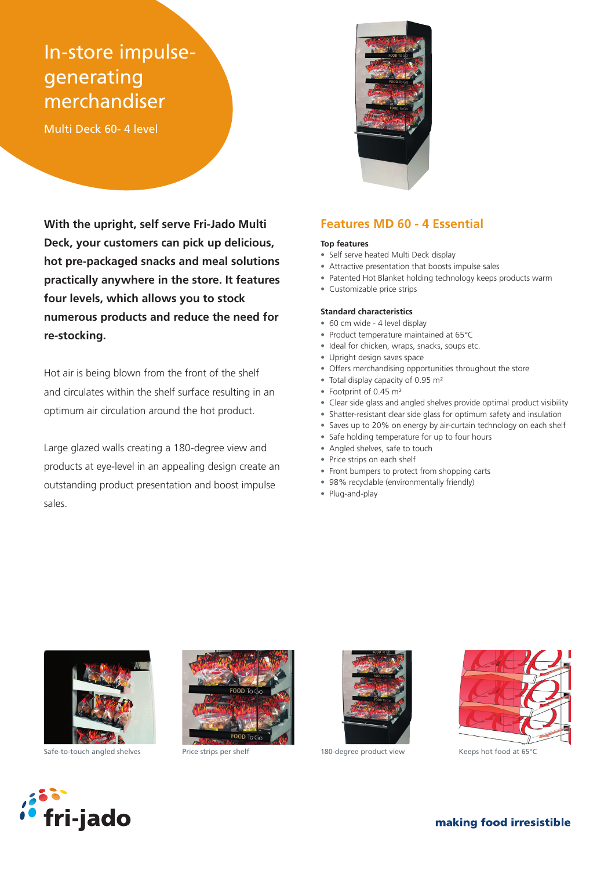# In-store impulsegenerating merchandiser

Multi Deck 60- 4 level



**With the upright, self serve Fri-Jado Multi Deck, your customers can pick up delicious, hot pre-packaged snacks and meal solutions practically anywhere in the store. It features four levels, which allows you to stock numerous products and reduce the need for re-stocking.**

Hot air is being blown from the front of the shelf and circulates within the shelf surface resulting in an optimum air circulation around the hot product.

Large glazed walls creating a 180-degree view and products at eye-level in an appealing design create an outstanding product presentation and boost impulse sales.

## **Features MD 60 - 4 Essential**

#### **Top features**

- Self serve heated Multi Deck display
- Attractive presentation that boosts impulse sales
- Patented Hot Blanket holding technology keeps products warm
- Customizable price strips

### **Standard characteristics**

- 60 cm wide 4 level display
- Product temperature maintained at 65°C
- Ideal for chicken, wraps, snacks, soups etc.
- Upright design saves space
- Offers merchandising opportunities throughout the store
- Total display capacity of 0.95 m<sup>2</sup>
- Footprint of 0.45 m²
- Clear side glass and angled shelves provide optimal product visibility
- Shatter-resistant clear side glass for optimum safety and insulation
- Saves up to 20% on energy by air-curtain technology on each shelf
- Safe holding temperature for up to four hours
- Angled shelves, safe to touch
- Price strips on each shelf
- Front bumpers to protect from shopping carts
- 98% recyclable (environmentally friendly)
- Plug-and-play



Safe-to-touch angled shelves Price strips per shelf 180-degree product view Keeps hot food at 65°C







fri-jado

making food irresistible